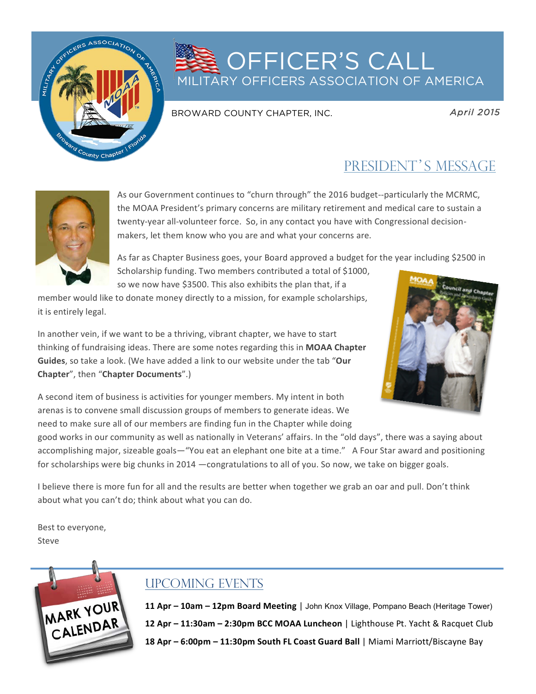

## **OFFICER'S CALL** MILITARY OFFICERS ASSOCIATION OF AMERICA

#### BROWARD COUNTY CHAPTER, INC.

*April 2015* 

## PRESIDENT'S MESSAGE



As our Government continues to "churn through" the 2016 budget--particularly the MCRMC, the MOAA President's primary concerns are military retirement and medical care to sustain a twenty-year all-volunteer force. So, in any contact you have with Congressional decisionmakers, let them know who you are and what your concerns are.

As far as Chapter Business goes, your Board approved a budget for the year including \$2500 in Scholarship funding. Two members contributed a total of \$1000,

so we now have \$3500. This also exhibits the plan that, if a

member would like to donate money directly to a mission, for example scholarships, it is entirely legal.

In another vein, if we want to be a thriving, vibrant chapter, we have to start thinking of fundraising ideas. There are some notes regarding this in MOAA Chapter **Guides**, so take a look. (We have added a link to our website under the tab "Our **Chapter**", then "**Chapter Documents**".)



A second item of business is activities for younger members. My intent in both arenas is to convene small discussion groups of members to generate ideas. We need to make sure all of our members are finding fun in the Chapter while doing

good works in our community as well as nationally in Veterans' affairs. In the "old days", there was a saying about accomplishing major, sizeable goals—"You eat an elephant one bite at a time." A Four Star award and positioning for scholarships were big chunks in 2014 —congratulations to all of you. So now, we take on bigger goals.

I believe there is more fun for all and the results are better when together we grab an oar and pull. Don't think about what you can't do; think about what you can do.

Best to everyone, Steve 



### UPCOMING EVENTS

**11 Apr - 10am - 12pm Board Meeting | John Knox Village, Pompano Beach (Heritage Tower) 12 Apr – 11:30am – 2:30pm BCC MOAA Luncheon** | Lighthouse Pt. Yacht & Racquet Club **18 Apr – 6:00pm – 11:30pm South FL Coast Guard Ball** | Miami Marriott/Biscayne Bay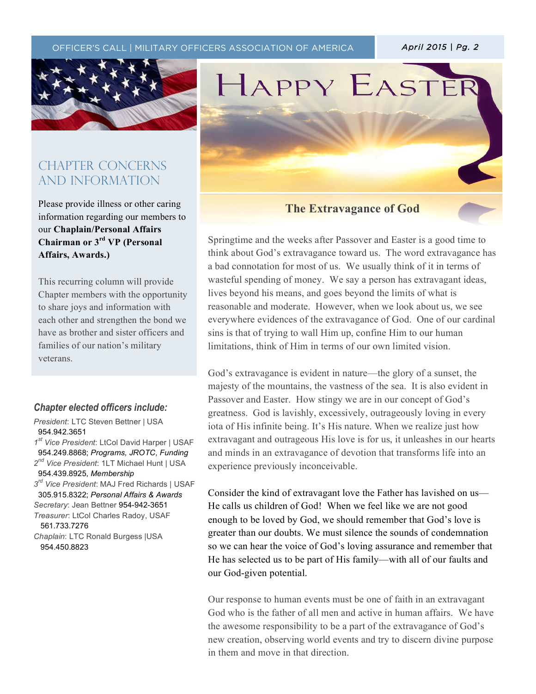OFFICER'S CALL | MILITARY OFFICERS ASSOCIATION OF AMERICA **| April 2015 | Pg. 2** 

 $\mathcal{T}_{\mathcal{A}}$  (the text)  $\mathcal{T}_{\mathcal{A}}$  (the text)  $\mathcal{T}_{\mathcal{A}}$  (the text)  $\mathcal{T}_{\mathcal{A}}$  (the text)  $\mathcal{T}_{\mathcal{A}}$ 



### CHAPTER CONCERNs AND INFORMATION

Please provide illness or other caring information regarding our members to our **Chaplain/Personal Affairs Chairman or 3rd VP (Personal Affairs, Awards.)**

This recurring column will provide Chapter members with the opportunity to share joys and information with each other and strengthen the bond we have as brother and sister officers and families of our nation's military veterans.

#### *Chapter elected officers include:*

*President*: LTC Steven Bettner | USA 954.942.3651 *1st Vice President*: LtCol David Harper | USAF 954.249.8868; *Programs, JROTC, Funding 2nd Vice President*: 1LT Michael Hunt | USA 954.439.8925, *Membership 3rd Vice President*: MAJ Fred Richards | USAF 305.915.8322; *Personal Affairs & Awards Secretary*: Jean Bettner 954-942-3651 *Treasurer*: LtCol Charles Radoy, USAF 561.733.7276 *Chaplain*: LTC Ronald Burgess |USA 954.450.8823

# HAPPY EASTE

#### **The Extravagance of God**

Springtime and the weeks after Passover and Easter is a good time to think about God's extravagance toward us. The word extravagance has a bad connotation for most of us. We usually think of it in terms of wasteful spending of money. We say a person has extravagant ideas, lives beyond his means, and goes beyond the limits of what is reasonable and moderate. However, when we look about us, we see everywhere evidences of the extravagance of God. One of our cardinal sins is that of trying to wall Him up, confine Him to our human limitations, think of Him in terms of our own limited vision.

God's extravagance is evident in nature—the glory of a sunset, the majesty of the mountains, the vastness of the sea. It is also evident in Passover and Easter. How stingy we are in our concept of God's greatness. God is lavishly, excessively, outrageously loving in every iota of His infinite being. It's His nature. When we realize just how extravagant and outrageous His love is for us, it unleashes in our hearts and minds in an extravagance of devotion that transforms life into an experience previously inconceivable.

Consider the kind of extravagant love the Father has lavished on us— He calls us children of God! When we feel like we are not good enough to be loved by God, we should remember that God's love is greater than our doubts. We must silence the sounds of condemnation so we can hear the voice of God's loving assurance and remember that He has selected us to be part of His family—with all of our faults and our God-given potential.

Our response to human events must be one of faith in an extravagant God who is the father of all men and active in human affairs. We have the awesome responsibility to be a part of the extravagance of God's new creation, observing world events and try to discern divine purpose in them and move in that direction.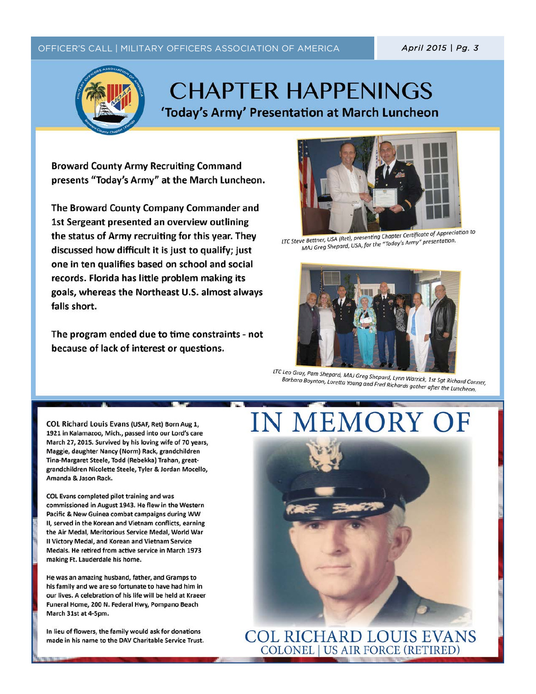#### OFFICER'S CALL | MILITARY OFFICERS ASSOCIATION OF AMERICA

April 2015 | Pg. 3



## **CHAPTER HAPPENINGS** 'Today's Army' Presentation at March Luncheon

**Broward County Army Recruiting Command** presents "Today's Army" at the March Luncheon.

The Broward County Company Commander and 1st Sergeant presented an overview outlining the status of Army recruiting for this year. They discussed how difficult it is just to qualify; just one in ten qualifies based on school and social records. Florida has little problem making its goals, whereas the Northeast U.S. almost always falls short.

The program ended due to time constraints - not because of lack of interest or questions.



LTC Steve Bettner, USA (Ret), presenting Chapter Certificate of Appreciation to MAJ Greg Shepard, USA, for the "Today's Army" presentation.



LTC Leo Gray, Pam Shepard, MAJ Greg Shepard, Lynn Warrick, 1st Sgt Richard Conner, Barbara Boynton, Loretta Young and Fred Richards gather after the Luncheon.

COL Richard Louis Evans (USAF, Ret) Born Aug 1, 1921 in Kalamazoo, Mich., passed into our Lord's care March 27, 2015. Survived by his loving wife of 70 years, Maggie, daughter Nancy (Norm) Rack, grandchildren Tina-Margaret Steele, Todd (Rebekka) Trahan, greatgrandchildren Nicolette Steele, Tyler & Jordan Mocello, Amanda & Jason Rack.

COL Evans completed pilot training and was commissioned in August 1943. He flew in the Western Pacific & New Guinea combat campaigns during WW II, served in the Korean and Vietnam conflicts, earning the Air Medal, Meritorious Service Medal, World War II Victory Medal, and Korean and Vietnam Service Medals. He retired from active service in March 1973 making Ft. Lauderdale his home.

He was an amazing husband, father, and Gramps to his family and we are so fortunate to have had him in our lives. A celebration of his life will be held at Kraeer Funeral Home, 200 N. Federal Hwy, Pompano Beach March 31st at 4-5pm.

In lieu of flowers, the family would ask for donations made in his name to the DAV Charitable Service Trust.

# IN MEMORY OF



**COL RICHARD LOUIS EVANS COLONEL | US AIR FORCE (RETIRED)**